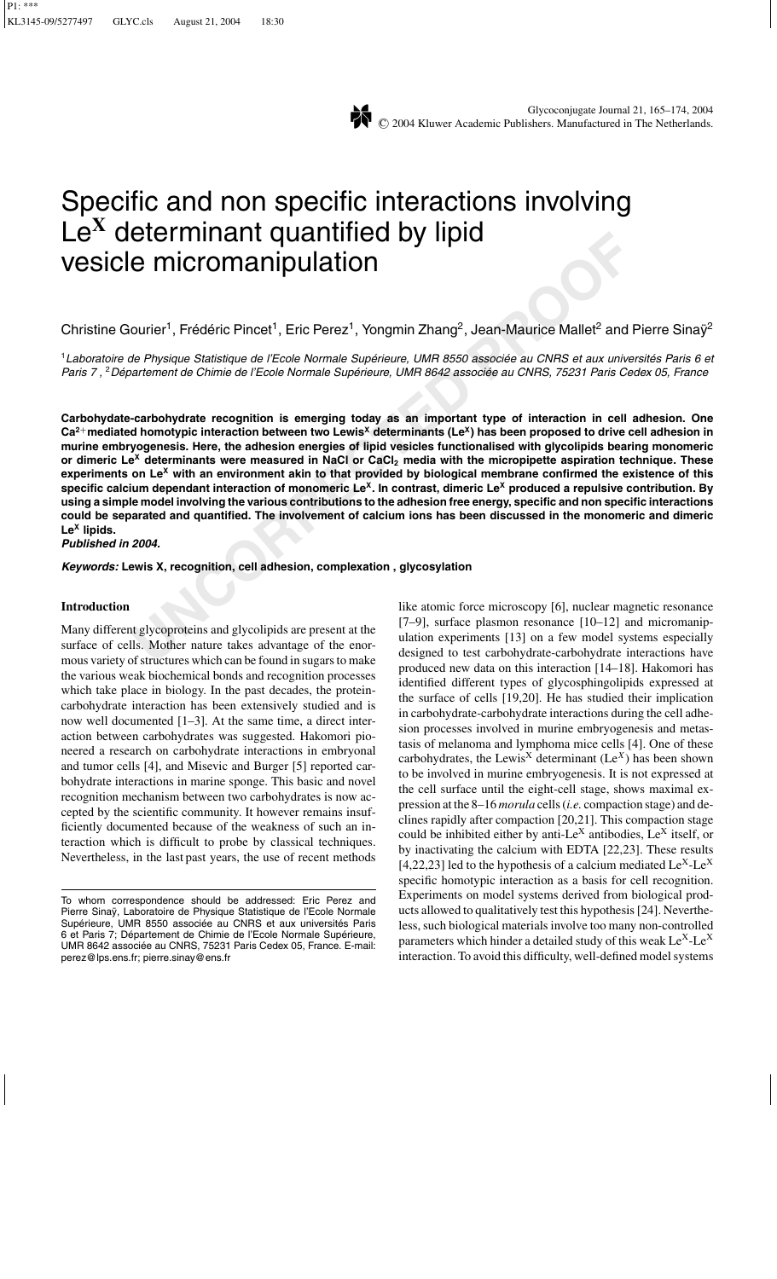

# Specific and non specific interactions involving Le**<sup>X</sup>** determinant quantified by lipid vesicle micromanipulation

Christine Gourier<sup>1</sup>, Frédéric Pincet<sup>1</sup>, Eric Perez<sup>1</sup>, Yongmin Zhang<sup>2</sup>, Jean-Maurice Mallet<sup>2</sup> and Pierre Sinaÿ<sup>2</sup>

<sup>1</sup> Laboratoire de Physique Statistique de l'Ecole Normale Supérieure, UMR 8550 associée au CNRS et aux universités Paris 6 et Paris 7, <sup>2</sup> Département de Chimie de l'Ecole Normale Supérieure, UMR 8642 associée au CNRS, 75231 Paris Cedex 05, France

**UNCORRECTED**<br> **UNCORRECTED**<br> **UNCORRECTED**<br> **UNCORRECTED**<br> **UNCORRECTED**<br> **UNCORRECTED**<br> **UNCORRECTED**<br> **UNCORRECTED**<br> **UNCORRECTED**<br> **UNCORRECTED**<br> **UNCORRECTED**<br> **UNCORRECTED**<br> **UNCORRECTED**<br> **UNCORRECTED**<br> **UNCORRECTED Carbohydate-carbohydrate recognition is emerging today as an important type of interaction in cell adhesion. One Ca2<sup>+</sup>mediated homotypic interaction between two Lewis<sup>X</sup> determinants (LeX) has been proposed to drive cell adhesion in murine embryogenesis. Here, the adhesion energies of lipid vesicles functionalised with glycolipids bearing monomeric or dimeric Le<sup>X</sup> determinants were measured in NaCl or CaCl2 media with the micropipette aspiration technique. These experiments on Le<sup>X</sup> with an environment akin to that provided by biological membrane confirmed the existence of this specific calcium dependant interaction of monomeric LeX. In contrast, dimeric Le<sup>X</sup> produced a repulsive contribution. By using a simple model involving the various contributions to the adhesion free energy, specific and non specific interactions could be separated and quantified. The involvement of calcium ions has been discussed in the monomeric and dimeric Le<sup>X</sup> lipids.**

*Published in 2004.*

*Keywords:* **Lewis X, recognition, cell adhesion, complexation , glycosylation**

## **Introduction**

Many different glycoproteins and glycolipids are present at the surface of cells. Mother nature takes advantage of the enormous variety of structures which can be found in sugars to make the various weak biochemical bonds and recognition processes which take place in biology. In the past decades, the proteincarbohydrate interaction has been extensively studied and is now well documented [1–3]. At the same time, a direct interaction between carbohydrates was suggested. Hakomori pioneered a research on carbohydrate interactions in embryonal and tumor cells [4], and Misevic and Burger [5] reported carbohydrate interactions in marine sponge. This basic and novel recognition mechanism between two carbohydrates is now accepted by the scientific community. It however remains insufficiently documented because of the weakness of such an interaction which is difficult to probe by classical techniques. Nevertheless, in the last past years, the use of recent methods like atomic force microscopy [6], nuclear magnetic resonance [7–9], surface plasmon resonance [10–12] and micromanipulation experiments [13] on a few model systems especially designed to test carbohydrate-carbohydrate interactions have produced new data on this interaction [14–18]. Hakomori has identified different types of glycosphingolipids expressed at the surface of cells [19,20]. He has studied their implication in carbohydrate-carbohydrate interactions during the cell adhesion processes involved in murine embryogenesis and metastasis of melanoma and lymphoma mice cells [4]. One of these carbohydrates, the Lewis<sup>X</sup> determinant  $(Le<sup>X</sup>)$  has been shown to be involved in murine embryogenesis. It is not expressed at the cell surface until the eight-cell stage, shows maximal expression at the 8–16 *morula* cells (*i.e.* compaction stage) and declines rapidly after compaction [20,21]. This compaction stage could be inhibited either by anti-Le<sup>X</sup> antibodies, Le<sup>X</sup> itself, or by inactivating the calcium with EDTA [22,23]. These results [4,22,23] led to the hypothesis of a calcium mediated  $Le^{X}$ -Le<sup>X</sup> specific homotypic interaction as a basis for cell recognition. Experiments on model systems derived from biological products allowed to qualitatively test this hypothesis [24]. Nevertheless, such biological materials involve too many non-controlled parameters which hinder a detailed study of this weak  $Le^{X}$ -Le<sup>X</sup> interaction. To avoid this difficulty, well-defined model systems

To whom correspondence should be addressed: Eric Perez and Pierre Sinaÿ, Laboratoire de Physique Statistique de l'Ecole Normale Supérieure, UMR 8550 associée au CNRS et aux universités Paris 6 et Paris 7; Département de Chimie de l'Ecole Normale Supérieure, UMR 8642 associée au CNRS, 75231 Paris Cedex 05, France. E-mail: perez@lps.ens.fr; pierre.sinay@ens.fr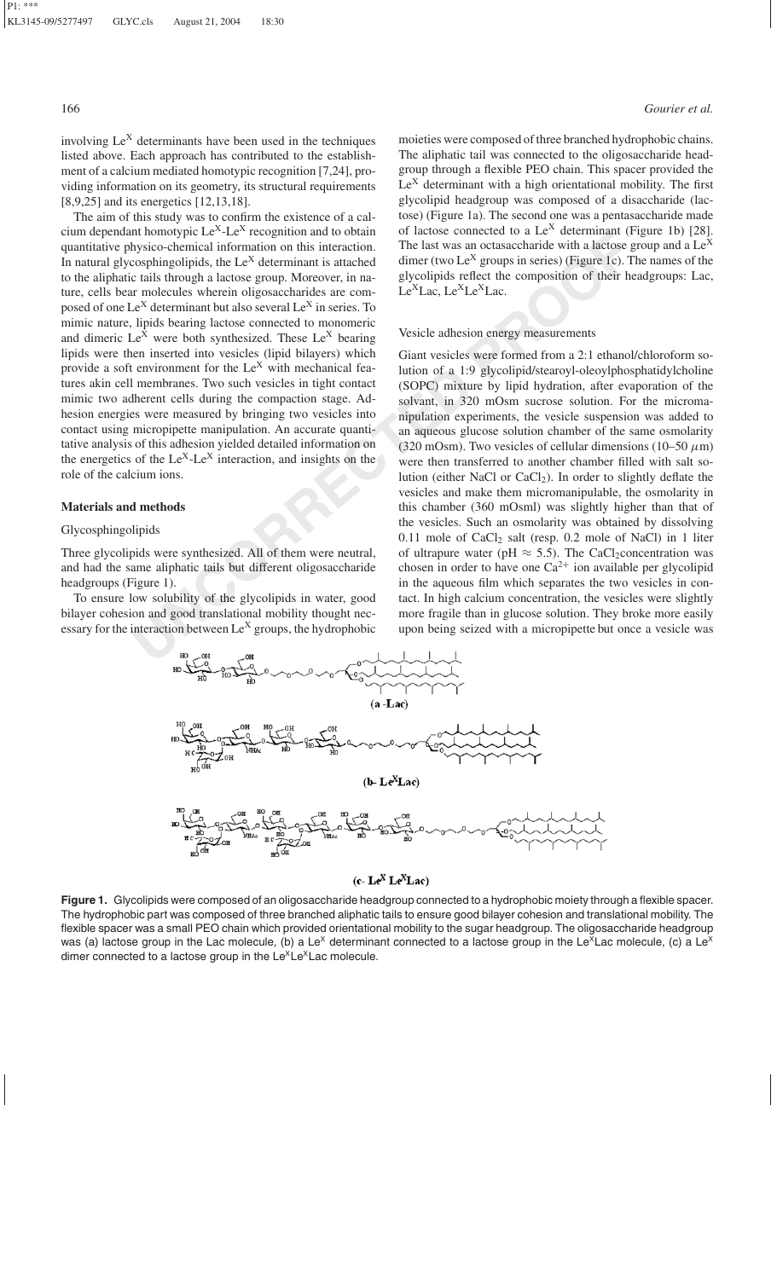involving  $Le<sup>X</sup>$  determinants have been used in the techniques listed above. Each approach has contributed to the establishment of a calcium mediated homotypic recognition [7,24], providing information on its geometry, its structural requirements [8,9,25] and its energetics [12,13,18].

The aim of this study was to confirm the existence of a calcium dependant homotypic  $Le^{X}$ -Le<sup>X</sup> recognition and to obtain quantitative physico-chemical information on this interaction. In natural glycosphingolipids, the  $Le<sup>X</sup>$  determinant is attached to the aliphatic tails through a lactose group. Moreover, in nature, cells bear molecules wherein oligosaccharides are composed of one Le<sup>X</sup> determinant but also several Le<sup>X</sup> in series. To mimic nature, lipids bearing lactose connected to monomeric and dimeric  $Le^{X}$  were both synthesized. These  $Le^{X}$  bearing lipids were then inserted into vesicles (lipid bilayers) which provide a soft environment for the  $Le<sup>X</sup>$  with mechanical features akin cell membranes. Two such vesicles in tight contact mimic two adherent cells during the compaction stage. Adhesion energies were measured by bringing two vesicles into contact using micropipette manipulation. An accurate quantitative analysis of this adhesion yielded detailed information on the energetics of the  $Le<sup>X</sup>$ -Le<sup>X</sup> interaction, and insights on the role of the calcium ions.

# **Materials and methods**

# Glycosphingolipids

Three glycolipids were synthesized. All of them were neutral, and had the same aliphatic tails but different oligosaccharide headgroups (Figure 1).

To ensure low solubility of the glycolipids in water, good bilayer cohesion and good translational mobility thought necessary for the interaction between Le<sup>X</sup> groups, the hydrophobic

moieties were composed of three branched hydrophobic chains. The aliphatic tail was connected to the oligosaccharide headgroup through a flexible PEO chain. This spacer provided the  $Le<sup>X</sup>$  determinant with a high orientational mobility. The first glycolipid headgroup was composed of a disaccharide (lactose) (Figure 1a). The second one was a pentasaccharide made of lactose connected to a  $Le<sup>X</sup>$  determinant (Figure 1b) [28]. The last was an octasaccharide with a lactose group and a  $\text{Le}^X$ dimer (two Le<sup>X</sup> groups in series) (Figure 1c). The names of the glycolipids reflect the composition of their headgroups: Lac,  $Le<sup>X</sup>Lac, Le<sup>X</sup>Le<sup>X</sup>Lac.$ 

#### Vesicle adhesion energy measurements

In forming the  $e^{-1} - e^{-e}$  reception and to otean<br>
in forming to the sole contraction and the same consideration of the same<br>
Universitytic-chemical information on this interaction. The last was an octasaccharide with a l Giant vesicles were formed from a 2:1 ethanol/chloroform solution of a 1:9 glycolipid/stearoyl-oleoylphosphatidylcholine (SOPC) mixture by lipid hydration, after evaporation of the solvant, in 320 mOsm sucrose solution. For the micromanipulation experiments, the vesicle suspension was added to an aqueous glucose solution chamber of the same osmolarity (320 mOsm). Two vesicles of cellular dimensions (10–50  $\mu$ m) were then transferred to another chamber filled with salt solution (either NaCl or  $CaCl<sub>2</sub>$ ). In order to slightly deflate the vesicles and make them micromanipulable, the osmolarity in this chamber (360 mOsml) was slightly higher than that of the vesicles. Such an osmolarity was obtained by dissolving  $0.11$  mole of CaCl<sub>2</sub> salt (resp.  $0.2$  mole of NaCl) in 1 liter of ultrapure water (pH  $\approx$  5.5). The CaCl<sub>2</sub>concentration was chosen in order to have one  $Ca^{2+}$  ion available per glycolipid in the aqueous film which separates the two vesicles in contact. In high calcium concentration, the vesicles were slightly more fragile than in glucose solution. They broke more easily upon being seized with a micropipette but once a vesicle was



# $(c - Le^X Le^X Lac)$

**Figure 1.** Glycolipids were composed of an oligosaccharide headgroup connected to a hydrophobic moiety through a flexible spacer. The hydrophobic part was composed of three branched aliphatic tails to ensure good bilayer cohesion and translational mobility. The flexible spacer was a small PEO chain which provided orientational mobility to the sugar headgroup. The oligosaccharide headgroup was (a) lactose group in the Lac molecule, (b) a Le<sup>x</sup> determinant connected to a lactose group in the Le<sup>x</sup>Lac molecule, (c) a Le<sup>x</sup> dimer connected to a lactose group in the  $Le^{\times}Le^{\times}$ Lac molecule.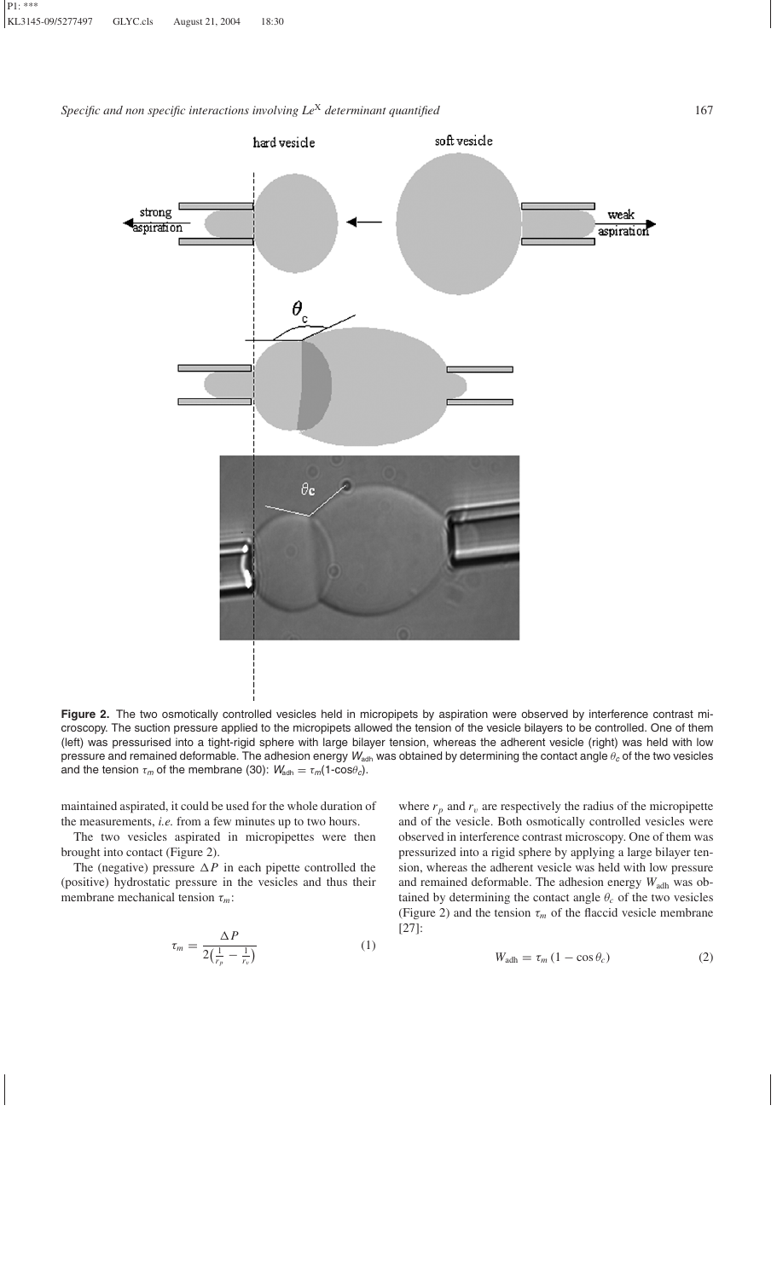

Figure 2. The two osmotically controlled vesicles held in micropipets by aspiration were observed by interference contrast microscopy. The suction pressure applied to the micropipets allowed the tension of the vesicle bilayers to be controlled. One of them (left) was pressurised into a tight-rigid sphere with large bilayer tension, whereas the adherent vesicle (right) was held with low pressure and remained deformable. The adhesion energy  $W_{\text{adh}}$  was obtained by determining the contact angle θ<sub>c</sub> of the two vesicles and the tension  $\tau_m$  of the membrane (30):  $W_{\text{adh}} = \tau_m(1-\cos\theta_c)$ .

maintained aspirated, it could be used for the whole duration of the measurements, *i.e.* from a few minutes up to two hours.

The two vesicles aspirated in micropipettes were then brought into contact (Figure 2).

The (negative) pressure  $\Delta P$  in each pipette controlled the (positive) hydrostatic pressure in the vesicles and thus their membrane mechanical tension τ*m*:

$$
\tau_m = \frac{\Delta P}{2(\frac{1}{r_p} - \frac{1}{r_v})}
$$
\n(1)

where  $r_p$  and  $r_v$  are respectively the radius of the micropipette and of the vesicle. Both osmotically controlled vesicles were observed in interference contrast microscopy. One of them was pressurized into a rigid sphere by applying a large bilayer tension, whereas the adherent vesicle was held with low pressure and remained deformable. The adhesion energy *W*adh was obtained by determining the contact angle  $\theta_c$  of the two vesicles (Figure 2) and the tension  $\tau_m$  of the flaccid vesicle membrane [27]:

$$
W_{\text{adh}} = \tau_m \left( 1 - \cos \theta_c \right) \tag{2}
$$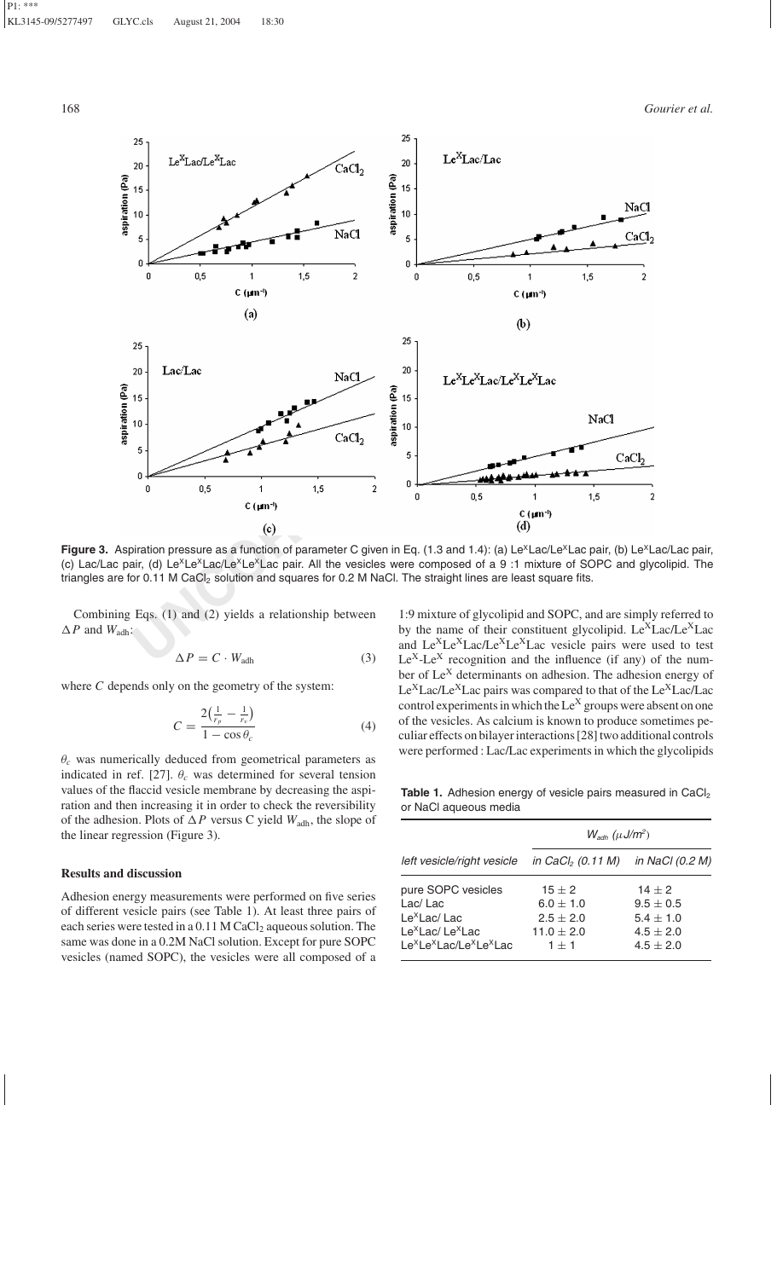

Figure 3. Aspiration pressure as a function of parameter C given in Eq. (1.3 and 1.4): (a) Le<sup>x</sup>Lac/Le<sup>x</sup>Lac pair, (b) Le<sup>x</sup>Lac/Lac pair, (c) Lac/Lac pair, (d) Le<sup>x</sup>Le<sup>x</sup>Lac/Le<sup>x</sup>Le<sup>x</sup>Lac pair. All the vesicles were composed of a 9:1 mixture of SOPC and glycolipid. The triangles are for 0.11 M CaCl<sub>2</sub> solution and squares for 0.2 M NaCl. The straight lines are least square fits.

Combining Eqs. (1) and (2) yields a relationship between  $\Delta P$  and  $W_{\text{adh}}$ :

$$
\Delta P = C \cdot W_{\text{adh}} \tag{3}
$$

where *C* depends only on the geometry of the system:

$$
C = \frac{2\left(\frac{1}{r_p} - \frac{1}{r_v}\right)}{1 - \cos\theta_c} \tag{4}
$$

θ*<sup>c</sup>* was numerically deduced from geometrical parameters as indicated in ref. [27].  $\theta_c$  was determined for several tension values of the flaccid vesicle membrane by decreasing the aspiration and then increasing it in order to check the reversibility of the adhesion. Plots of  $\Delta P$  versus C yield  $W_{\text{adh}}$ , the slope of the linear regression (Figure 3).

# **Results and discussion**

Adhesion energy measurements were performed on five series of different vesicle pairs (see Table 1). At least three pairs of each series were tested in a 0.11 M CaCl<sub>2</sub> aqueous solution. The same was done in a 0.2M NaCl solution. Except for pure SOPC vesicles (named SOPC), the vesicles were all composed of a

1:9 mixture of glycolipid and SOPC, and are simply referred to by the name of their constituent glycolipid.  $Le^{X}Lac/Le^{X}Lac$ and Le<sup>X</sup>Le<sup>X</sup>Lac/Le<sup>X</sup>Le<sup>X</sup>Lac vesicle pairs were used to test  $Le<sup>X</sup>-Le<sup>X</sup>$  recognition and the influence (if any) of the number of  $Le<sup>X</sup>$  determinants on adhesion. The adhesion energy of  $Le<sup>X</sup> Lac/Le<sup>X</sup> Lac$  pairs was compared to that of the  $Le<sup>X</sup> Lac/Lac$ control experiments in which the Le<sup>X</sup> groups were absent on one of the vesicles. As calcium is known to produce sometimes peculiar effects on bilayer interactions [28] two additional controls were performed : Lac/Lac experiments in which the glycolipids

Table 1. Adhesion energy of vesicle pairs measured in CaCl<sub>2</sub> or NaCl aqueous media

|                                                                                                                                                                                | $W_{\text{adh}}$ ( $\mu$ J/m <sup>2</sup> )                               |                                                                                |  |  |  |
|--------------------------------------------------------------------------------------------------------------------------------------------------------------------------------|---------------------------------------------------------------------------|--------------------------------------------------------------------------------|--|--|--|
| left vesicle/right vesicle                                                                                                                                                     | in CaCl <sub>2</sub> (0.11 M)                                             | in NaCl (0.2 M)                                                                |  |  |  |
| pure SOPC vesicles<br>Lac/Lac<br>Le <sup>X</sup> Lac/Lac<br>Le <sup>x</sup> Lac/Le <sup>x</sup> Lac<br>Le <sup>x</sup> Le <sup>x</sup> Lac/Le <sup>x</sup> Le <sup>x</sup> Lac | $15 \pm 2$<br>$6.0 \pm 1.0$<br>$2.5 \pm 2.0$<br>$11.0 \pm 2.0$<br>$1 + 1$ | $14 \pm 2$<br>$9.5 \pm 0.5$<br>$5.4 \pm 1.0$<br>$4.5 \pm 2.0$<br>$4.5 \pm 2.0$ |  |  |  |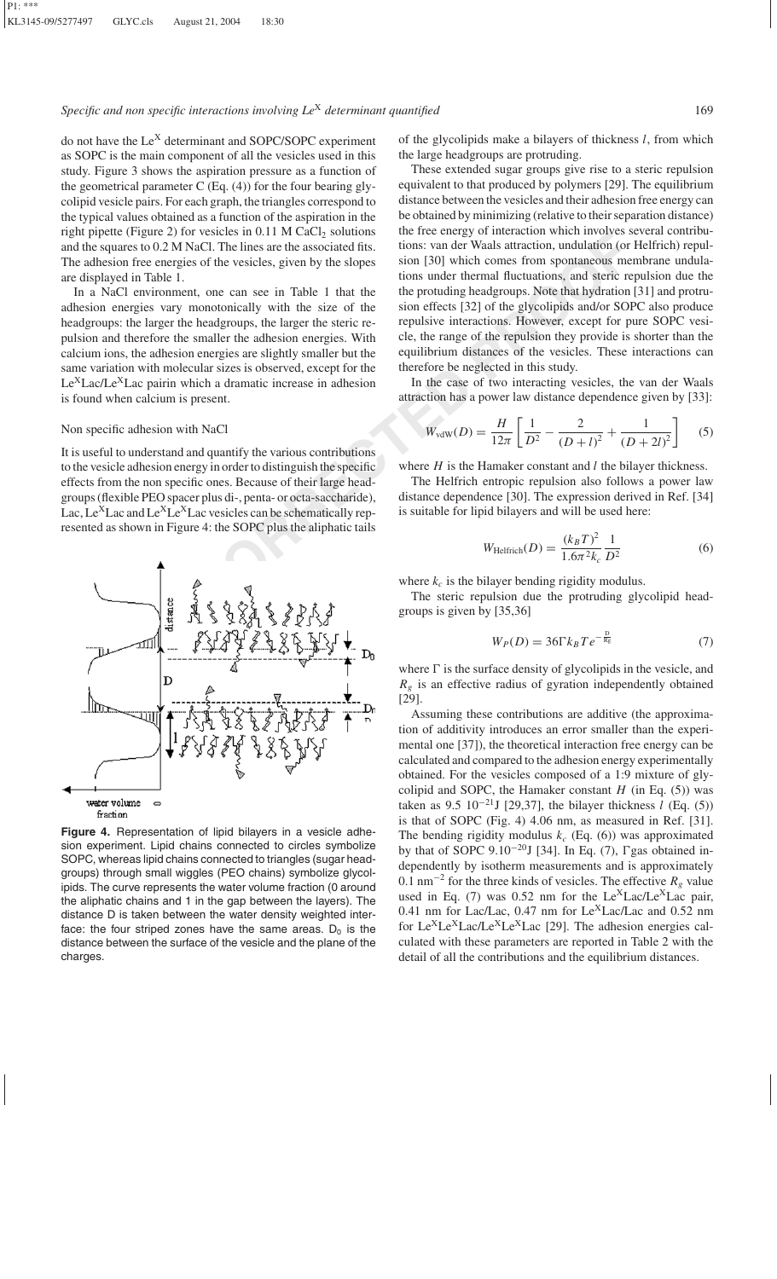do not have the  $Le<sup>X</sup>$  determinant and SOPC/SOPC experiment as SOPC is the main component of all the vesicles used in this study. Figure 3 shows the aspiration pressure as a function of the geometrical parameter C (Eq. (4)) for the four bearing glycolipid vesicle pairs. For each graph, the triangles correspond to the typical values obtained as a function of the aspiration in the right pipette (Figure 2) for vesicles in  $0.11$  M CaCl<sub>2</sub> solutions and the squares to 0.2 M NaCl. The lines are the associated fits. The adhesion free energies of the vesicles, given by the slopes are displayed in Table 1.

In a NaCl environment, one can see in Table 1 that the adhesion energies vary monotonically with the size of the headgroups: the larger the headgroups, the larger the steric repulsion and therefore the smaller the adhesion energies. With calcium ions, the adhesion energies are slightly smaller but the same variation with molecular sizes is observed, except for the  $Le<sup>X</sup> Lac/Le<sup>X</sup> Lac$  pairin which a dramatic increase in adhesion is found when calcium is present.

#### Non specific adhesion with NaCl

It is useful to understand and quantify the various contributions to the vesicle adhesion energy in order to distinguish the specific effects from the non specific ones. Because of their large headgroups (flexible PEO spacer plus di-, penta- or octa-saccharide), Lac, Le<sup>X</sup>Lac and Le<sup>X</sup>Le<sup>X</sup>Lac vesicles can be schematically represented as shown in Figure 4: the SOPC plus the aliphatic tails



**Figure 4.** Representation of lipid bilayers in a vesicle adhesion experiment. Lipid chains connected to circles symbolize SOPC, whereas lipid chains connected to triangles (sugar headgroups) through small wiggles (PEO chains) symbolize glycolipids. The curve represents the water volume fraction (0 around the aliphatic chains and 1 in the gap between the layers). The distance D is taken between the water density weighted interface: the four striped zones have the same areas.  $D_0$  is the distance between the surface of the vesicle and the plane of the charges.

of the glycolipids make a bilayers of thickness *l*, from which the large headgroups are protruding.

**Proper 2** For Vescoles in 0.1 M Calcy solutions we have been get to mate anomoly which the same the associated fits.<br> **USLO NACOLE SET AND NACOLE SET AND ANCE AND CONSIDER THE CONSIDER THE CONSIDER THE CONSIDERATION (in** These extended sugar groups give rise to a steric repulsion equivalent to that produced by polymers [29]. The equilibrium distance between the vesicles and their adhesion free energy can be obtained by minimizing (relative to their separation distance) the free energy of interaction which involves several contributions: van der Waals attraction, undulation (or Helfrich) repulsion [30] which comes from spontaneous membrane undulations under thermal fluctuations, and steric repulsion due the the protuding headgroups. Note that hydration [31] and protrusion effects [32] of the glycolipids and/or SOPC also produce repulsive interactions. However, except for pure SOPC vesicle, the range of the repulsion they provide is shorter than the equilibrium distances of the vesicles. These interactions can therefore be neglected in this study.

In the case of two interacting vesicles, the van der Waals attraction has a power law distance dependence given by [33]:

$$
W_{\text{vdW}}(D) = \frac{H}{12\pi} \left[ \frac{1}{D^2} - \frac{2}{(D+l)^2} + \frac{1}{(D+2l)^2} \right] \tag{5}
$$

where *H* is the Hamaker constant and *l* the bilayer thickness.

The Helfrich entropic repulsion also follows a power law distance dependence [30]. The expression derived in Ref. [34] is suitable for lipid bilayers and will be used here:

$$
W_{\text{Helfrich}}(D) = \frac{(k_B T)^2}{1.6\pi^2 k_c} \frac{1}{D^2}
$$
 (6)

where  $k_c$  is the bilayer bending rigidity modulus.

The steric repulsion due the protruding glycolipid headgroups is given by [35,36]

$$
W_P(D) = 36\Gamma k_B T e^{-\frac{D}{R_g}}\tag{7}
$$

where  $\Gamma$  is the surface density of glycolipids in the vesicle, and  $R_g$  is an effective radius of gyration independently obtained [29].

Assuming these contributions are additive (the approximation of additivity introduces an error smaller than the experimental one [37]), the theoretical interaction free energy can be calculated and compared to the adhesion energy experimentally obtained. For the vesicles composed of a 1:9 mixture of glycolipid and SOPC, the Hamaker constant  $H$  (in Eq. (5)) was taken as  $9.5 \frac{10^{-21} J}{29,37}$ , the bilayer thickness *l* (Eq. (5)) is that of SOPC (Fig. 4) 4.06 nm, as measured in Ref. [31]. The bending rigidity modulus  $k_c$  (Eq. (6)) was approximated by that of SOPC 9.10<sup>-20</sup>J [34]. In Eq. (7),  $\Gamma$ gas obtained independently by isotherm measurements and is approximately 0.1 nm<sup>-2</sup> for the three kinds of vesicles. The effective  $R<sub>g</sub>$  value used in Eq. (7) was 0.52 nm for the  $Le^{X}Lac/Le^{X}Lac$  pair, 0.41 nm for Lac/Lac, 0.47 nm for Le<sup>X</sup>Lac/Lac and 0.52 nm for Le<sup>X</sup>Le<sup>X</sup>Lac/Le<sup>X</sup>Le<sup>X</sup>Lac [29]. The adhesion energies calculated with these parameters are reported in Table 2 with the detail of all the contributions and the equilibrium distances.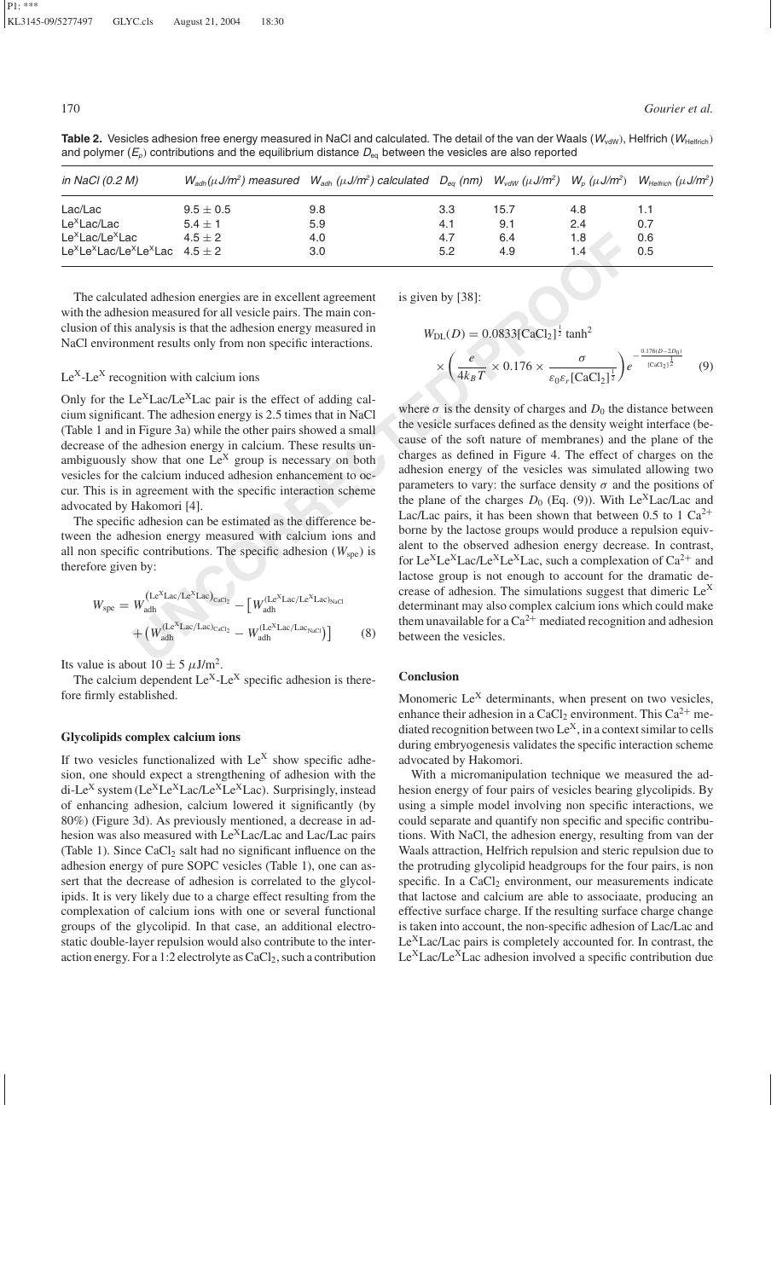Table 2. Vesicles adhesion free energy measured in NaCl and calculated. The detail of the van der Waals (*W<sub>vdW</sub>)*, Helfrich (*W*<sub>Helfrich</sub>) and polymer  $(E_p)$  contributions and the equilibrium distance  $D_{eq}$  between the vesicles are also reported

| in NaCl (0.2 M)                                                                     |               | $W_{\alpha d h}(\mu J/m^2)$ measured $W_{\alpha d h}(\mu J/m^2)$ calculated $D_{\alpha g}$ (nm) $W_{\nu d W}(\mu J/m^2)$ $W_{\alpha}(\mu J/m^2)$ $W_{\mu e l f i c h}(\mu J/m^2)$ |     |      |     |     |
|-------------------------------------------------------------------------------------|---------------|-----------------------------------------------------------------------------------------------------------------------------------------------------------------------------------|-----|------|-----|-----|
| Lac/Lac                                                                             | $9.5 \pm 0.5$ | 9.8                                                                                                                                                                               | 3.3 | 15.7 | 4.8 |     |
| Le <sup>x</sup> Lac/Lac                                                             | $5.4 \pm 1$   | 5.9                                                                                                                                                                               | 4.1 | 9.1  | 2.4 | 0.7 |
| Le <sup>x</sup> Lac/Le <sup>x</sup> Lac                                             | $4.5 \pm 2$   | 4.0                                                                                                                                                                               | 4.7 | 6.4  | 1.8 | 0.6 |
| Le <sup>x</sup> Le <sup>x</sup> Lac/Le <sup>x</sup> Le <sup>x</sup> Lac $4.5 \pm 2$ |               | 3.0                                                                                                                                                                               | 5.2 | 4.9  | 1.4 | 0.5 |

The calculated adhesion energies are in excellent agreement with the adhesion measured for all vesicle pairs. The main conclusion of this analysis is that the adhesion energy measured in NaCl environment results only from non specific interactions.

# $Le<sup>X</sup>-Le<sup>X</sup>$  recognition with calcium ions

Only for the  $Le<sup>X</sup>Lac/Le<sup>X</sup>Lac$  pair is the effect of adding calcium significant. The adhesion energy is 2.5 times that in NaCl (Table 1 and in Figure 3a) while the other pairs showed a small decrease of the adhesion energy in calcium. These results unambiguously show that one  $Le^{X}$  group is necessary on both vesicles for the calcium induced adhesion enhancement to occur. This is in agreement with the specific interaction scheme advocated by Hakomori [4].

The specific adhesion can be estimated as the difference between the adhesion energy measured with calcium ions and all non specific contributions. The specific adhesion  $(W_{\text{spe}})$  is therefore given by:

$$
W_{\rm spe} = W_{\rm adh}^{\rm (Le^{X}Lac/Le^{X}Lac)_{\rm CaCl_2}} - \left[W_{\rm adh}^{\rm (Le^{X}Lac/Le^{X}Lac)_{\rm NaCl}} + \left(W_{\rm adh}^{\rm (Le^{X}Lac/Lac)_{\rm CaCl_2}} - W_{\rm adh}^{\rm (Le^{X}Lac/Lac)_{\rm NaCl}}\right)\right]
$$
(8)

Its value is about  $10 \pm 5 \mu J/m^2$ .

The calcium dependent  $Le^{X}$ -Le<sup>X</sup> specific adhesion is therefore firmly established.

# **Glycolipids complex calcium ions**

If two vesicles functionalized with  $Le<sup>X</sup>$  show specific adhesion, one should expect a strengthening of adhesion with the di-Le<sup>X</sup> system (Le<sup>X</sup>Le<sup>X</sup>Lac/Le<sup>X</sup>Le<sup>X</sup>Lac). Surprisingly, instead of enhancing adhesion, calcium lowered it significantly (by 80%) (Figure 3d). As previously mentioned, a decrease in adhesion was also measured with  $Le<sup>X</sup>Lac/Lac$  and Lac/Lac pairs (Table 1). Since  $CaCl<sub>2</sub>$  salt had no significant influence on the adhesion energy of pure SOPC vesicles (Table 1), one can assert that the decrease of adhesion is correlated to the glycolipids. It is very likely due to a charge effect resulting from the complexation of calcium ions with one or several functional groups of the glycolipid. In that case, an additional electrostatic double-layer repulsion would also contribute to the interaction energy. For a 1:2 electrolyte as  $CaCl<sub>2</sub>$ , such a contribution is given by [38]:

$$
W_{\rm DL}(D) = 0.0833 \left[ \text{CaCl}_2 \right]^{\frac{1}{2}} \tanh^2
$$

$$
\times \left(\frac{e}{4k_BT} \times 0.176 \times \frac{\sigma}{\varepsilon_0 \varepsilon_r \left[ \text{CaCl}_2 \right]^{\frac{1}{2}}} \right) e^{-\frac{0.176(D-2D_0)}{\left[ \text{CaCl}_2 \right]^{\frac{1}{2}}}}
$$
(9)

**E**  $\mathbf{A}(\mathbf{E} + \mathbf{E})$ <br> **E**  $\mathbf{A}(\mathbf{E} + \mathbf{E})$ <br> **E**  $\mathbf{A}(\mathbf{E} + \mathbf{E})$ <br> **E**  $\mathbf{A}(\mathbf{E} + \mathbf{E})$ <br> **E**  $\mathbf{A}(\mathbf{E} + \mathbf{E})$ <br> **E**  $\mathbf{A}(\mathbf{E} + \mathbf{E})$ <br> **E**  $\mathbf{A}(\mathbf{E} + \mathbf{E})$ <br> **E**  $\mathbf{A}(\mathbf{E} + \mathbf{E})$ <br> **E** where  $\sigma$  is the density of charges and  $D_0$  the distance between the vesicle surfaces defined as the density weight interface (because of the soft nature of membranes) and the plane of the charges as defined in Figure 4. The effect of charges on the adhesion energy of the vesicles was simulated allowing two parameters to vary: the surface density  $\sigma$  and the positions of the plane of the charges  $D_0$  (Eq. (9)). With Le<sup>X</sup>Lac/Lac and Lac/Lac pairs, it has been shown that between 0.5 to 1  $Ca^{2+}$ borne by the lactose groups would produce a repulsion equivalent to the observed adhesion energy decrease. In contrast, for Le<sup>X</sup>Le<sup>X</sup>Lac/Le<sup>X</sup>Le<sup>X</sup>Lac, such a complexation of  $Ca^{2+}$  and lactose group is not enough to account for the dramatic decrease of adhesion. The simulations suggest that dimeric  $Le<sup>X</sup>$ determinant may also complex calcium ions which could make them unavailable for a  $Ca^{2+}$  mediated recognition and adhesion between the vesicles.

#### **Conclusion**

Monomeric  $Le<sup>X</sup>$  determinants, when present on two vesicles, enhance their adhesion in a CaCl<sub>2</sub> environment. This  $Ca^{2+}$  mediated recognition between two  $Le<sup>X</sup>$ , in a context similar to cells during embryogenesis validates the specific interaction scheme advocated by Hakomori.

With a micromanipulation technique we measured the adhesion energy of four pairs of vesicles bearing glycolipids. By using a simple model involving non specific interactions, we could separate and quantify non specific and specific contributions. With NaCl, the adhesion energy, resulting from van der Waals attraction, Helfrich repulsion and steric repulsion due to the protruding glycolipid headgroups for the four pairs, is non specific. In a  $CaCl<sub>2</sub>$  environment, our measurements indicate that lactose and calcium are able to associaate, producing an effective surface charge. If the resulting surface charge change is taken into account, the non-specific adhesion of Lac/Lac and  $Le<sup>X</sup> Lac/Lac$  pairs is completely accounted for. In contrast, the Le<sup>X</sup>Lac/Le<sup>X</sup>Lac adhesion involved a specific contribution due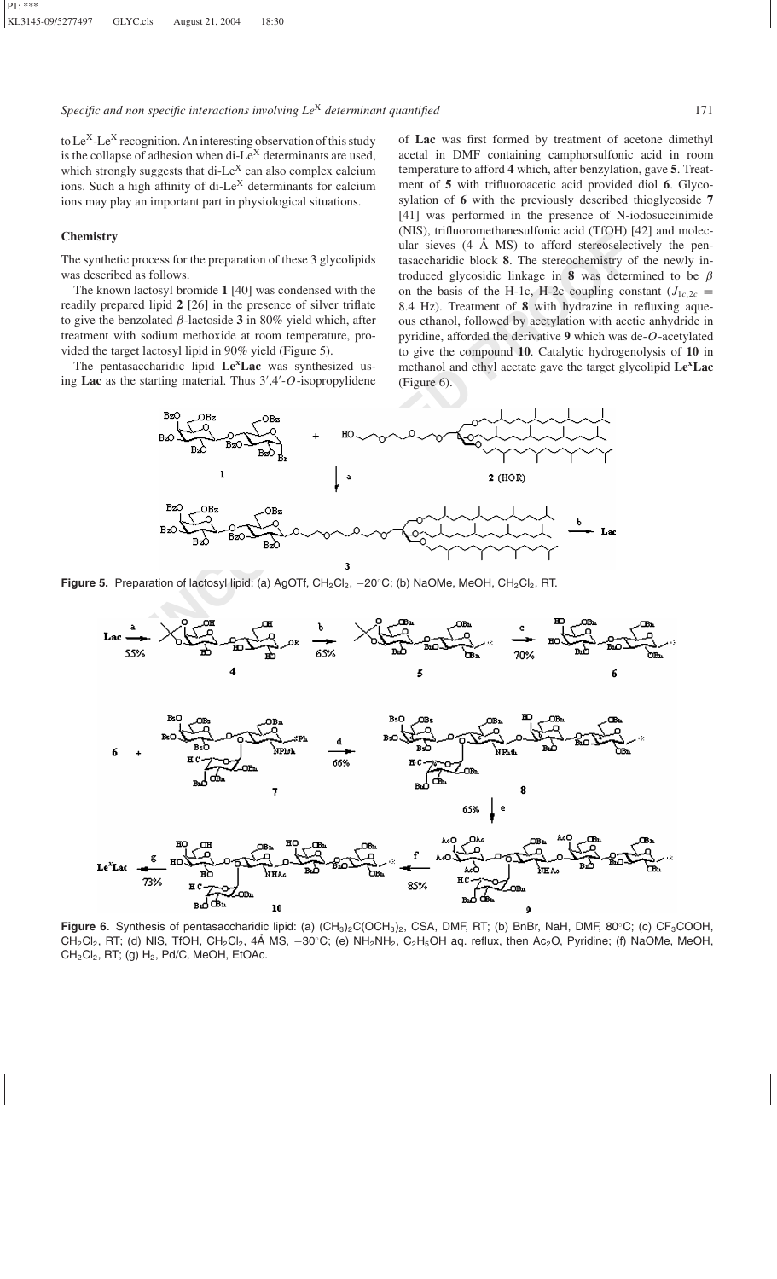to  $Le^{X}$ -Le<sup>X</sup> recognition. An interesting observation of this study is the collapse of adhesion when di- $Le<sup>X</sup>$  determinants are used, which strongly suggests that di-Le<sup>X</sup> can also complex calcium ions. Such a high affinity of di-Le<sup>X</sup> determinants for calcium ions may play an important part in physiological situations.

# **Chemistry**

The synthetic process for the preparation of these 3 glycolipids was described as follows.

The known lactosyl bromide **1** [40] was condensed with the readily prepared lipid **2** [26] in the presence of silver triflate to give the benzolated β-lactoside **3** in 80% yield which, after treatment with sodium methoxide at room temperature, provided the target lactosyl lipid in 90% yield (Figure 5).

The pentasaccharidic lipid **LexLac** was synthesized using Lac as the starting material. Thus  $3'$ , 4'-O-isopropylidene

of **Lac** was first formed by treatment of acetone dimethyl acetal in DMF containing camphorsulfonic acid in room temperature to afford **4** which, after benzylation, gave **5**. Treatment of **5** with trifluoroacetic acid provided diol **6**. Glycosylation of **6** with the previously described thioglycoside **7** [41] was performed in the presence of N-iodosuccinimide (NIS), trifluoromethanesulfonic acid (TfOH) [42] and molecular sieves  $(4 \text{ Å MS})$  to afford stereoselectively the pentasaccharidic block **8**. The stereochemistry of the newly introduced glycosidic linkage in **8** was determined to be  $\beta$ on the basis of the H-1c, H-2c coupling constant  $(J_{1c,2c}$ 8.4 Hz). Treatment of **8** with hydrazine in refluxing aqueous ethanol, followed by acetylation with acetic anhydride in pyridine, afforded the derivative **9** which was de-*O*-acetylated to give the compound **10**. Catalytic hydrogenolysis of **10** in methanol and ethyl acetate gave the target glycolipid **LexLac** (Figure 6).



Figure 5. Preparation of lactosyl lipid: (a) AgOTf, CH<sub>2</sub>Cl<sub>2</sub>, -20℃; (b) NaOMe, MeOH, CH<sub>2</sub>Cl<sub>2</sub>, RT.



Figure 6. Synthesis of pentasaccharidic lipid: (a) (CH<sub>3</sub>)<sub>2</sub>C(OCH<sub>3</sub>)<sub>2</sub>, CSA, DMF, RT; (b) BnBr, NaH, DMF, 80°C; (c) CF<sub>3</sub>COOH,  $CH_2Cl_2$ , RT; (d) NIS, TfOH, CH<sub>2</sub>Cl<sub>2</sub>, 4Å MS,  $-30^{\circ}$ C; (e) NH<sub>2</sub>NH<sub>2</sub>, C<sub>2</sub>H<sub>5</sub>OH aq. reflux, then Ac<sub>2</sub>O, Pyridine; (f) NaOMe, MeOH,  $CH_2Cl_2$ , RT; (g)  $H_2$ , Pd/C, MeOH, EtOAc.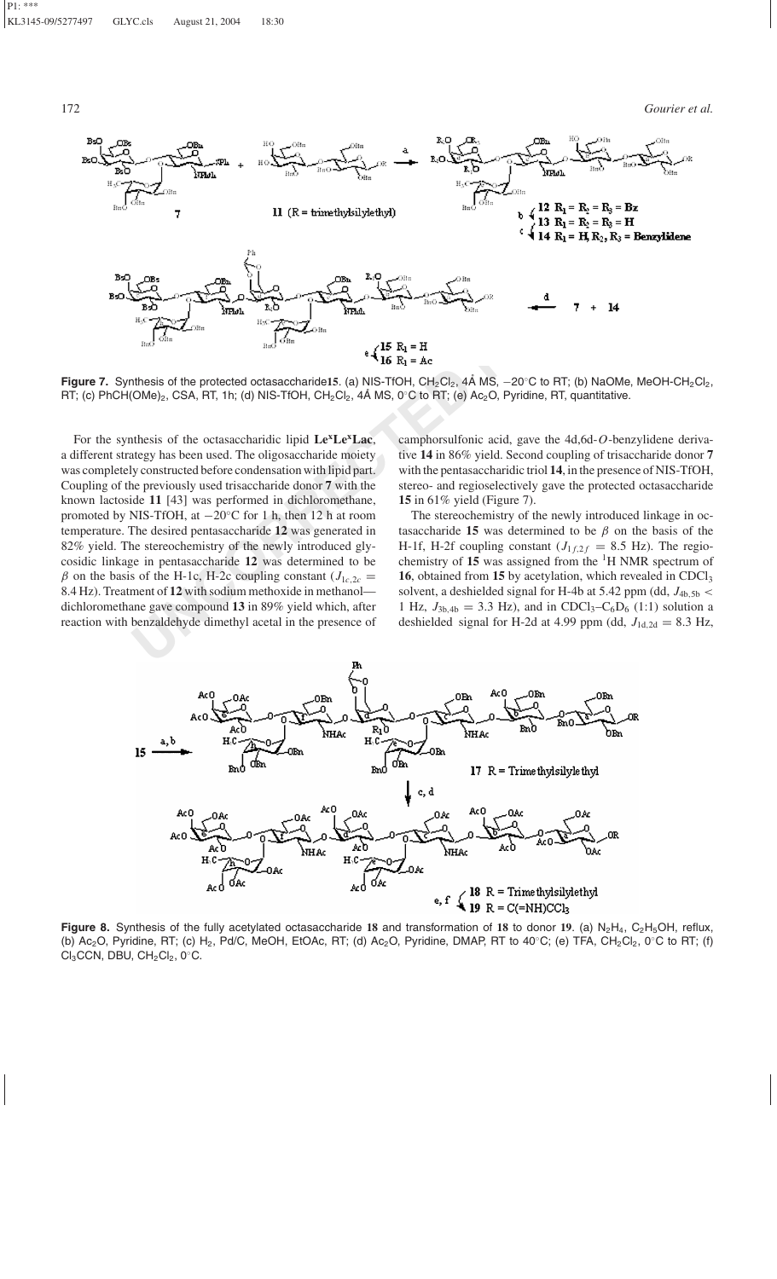172 *Gourier et al.*



Figure 7. Synthesis of the protected octasaccharide15. (a) NIS-TfOH, CH<sub>2</sub>Cl<sub>2</sub>, 4Å MS, -20℃ to RT; (b) NaOMe, MeOH-CH<sub>2</sub>Cl<sub>2</sub>, RT; (c) PhCH(OMe)<sub>2</sub>, CSA, RT, 1h; (d) NIS-TfOH, CH<sub>2</sub>Cl<sub>2</sub>, 4Å MS, 0°C to RT; (e) Ac<sub>2</sub>O, Pyridine, RT, quantitative.

For the synthesis of the octasaccharidic lipid **LexLexLac**, a different strategy has been used. The oligosaccharide moiety was completely constructed before condensation with lipid part. Coupling of the previously used trisaccharide donor **7** with the known lactoside **11** [43] was performed in dichloromethane, promoted by NIS-TfOH, at −20◦C for 1 h, then 12 h at room temperature. The desired pentasaccharide **12** was generated in 82% yield. The stereochemistry of the newly introduced glycosidic linkage in pentasaccharide **12** was determined to be  $\beta$  on the basis of the H-1c, H-2c coupling constant ( $J_{1c,2c}$  = 8.4 Hz). Treatment of **12** with sodium methoxide in methanol dichloromethane gave compound **13** in 89% yield which, after reaction with benzaldehyde dimethyl acetal in the presence of

camphorsulfonic acid, gave the 4d,6d-*O*-benzylidene derivative **14** in 86% yield. Second coupling of trisaccharide donor **7** with the pentasaccharidic triol **14**, in the presence of NIS-TfOH, stereo- and regioselectively gave the protected octasaccharide **15** in 61% yield (Figure 7).

The stereochemistry of the newly introduced linkage in octasaccharide **15** was determined to be  $\beta$  on the basis of the H-1f, H-2f coupling constant  $(J_{1f,2f} = 8.5 \text{ Hz})$ . The regiochemistry of **15** was assigned from the 1H NMR spectrum of 16, obtained from 15 by acetylation, which revealed in CDCl<sub>3</sub> solvent, a deshielded signal for H-4b at 5.42 ppm (dd,  $J_{4b,5b}$  < 1 Hz,  $J_{3b,4b} = 3.3$  Hz), and in CDCl<sub>3</sub>-C<sub>6</sub>D<sub>6</sub> (1:1) solution a deshielded signal for H-2d at 4.99 ppm (dd,  $J_{1d,2d} = 8.3$  Hz,



Figure 8. Synthesis of the fully acetylated octasaccharide 18 and transformation of 18 to donor 19. (a) N<sub>2</sub>H<sub>4</sub>, C<sub>2</sub>H<sub>5</sub>OH, reflux, (b) Ac<sub>2</sub>O, Pyridine, RT; (c) H<sub>2</sub>, Pd/C, MeOH, EtOAc, RT; (d) Ac<sub>2</sub>O, Pyridine, DMAP, RT to 40℃; (e) TFA, CH<sub>2</sub>Cl<sub>2</sub>, 0℃ to RT; (f)  $Cl_3CCN$ , DBU,  $CH_2Cl_2$ , 0 $°C$ .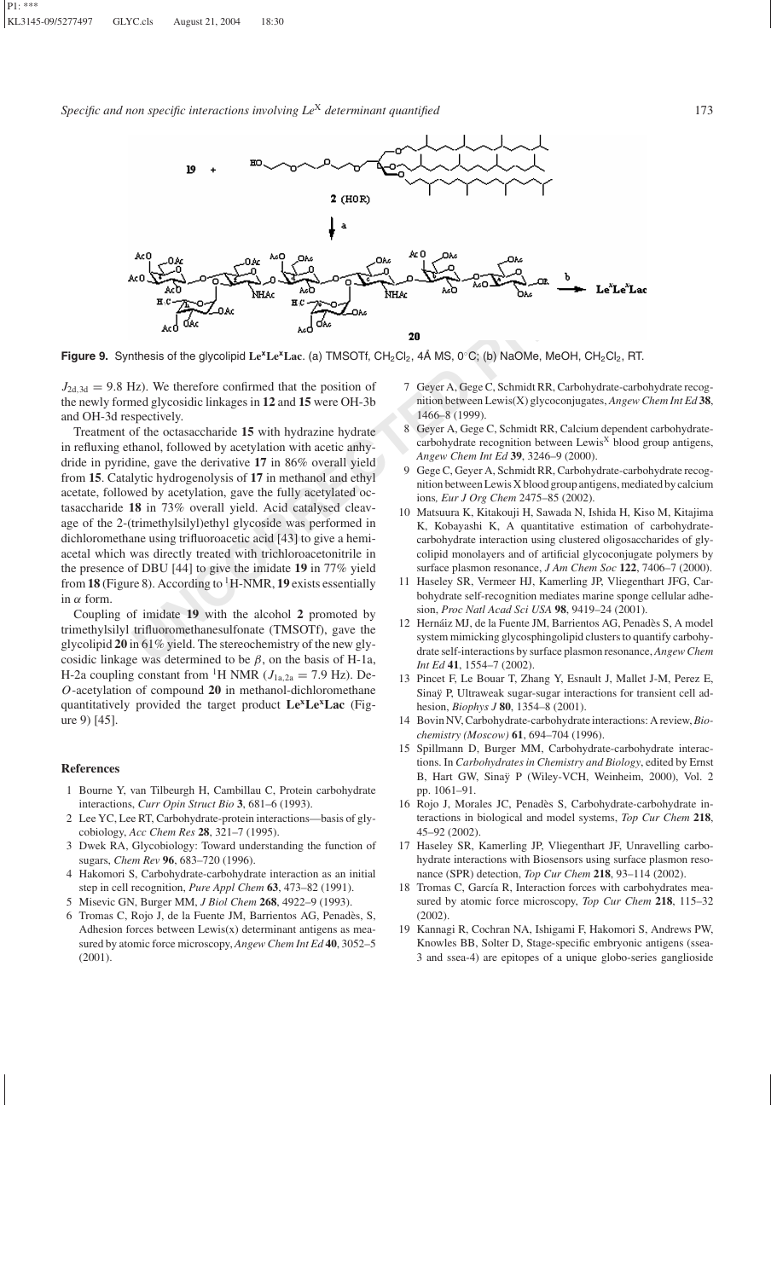

**Figure 9.** Synthesis of the glycolipid Le<sup>x</sup>Le<sup>x</sup>Lac. (a) TMSOTf, CH<sub>2</sub>Cl<sub>2</sub>, 4Å MS, 0℃; (b) NaOMe, MeOH, CH<sub>2</sub>Cl<sub>2</sub>, RT.

 $J_{2d,3d} = 9.8$  Hz). We therefore confirmed that the position of the newly formed glycosidic linkages in **12** and **15** were OH-3b and OH-3d respectively.

Treatment of the octasaccharide **15** with hydrazine hydrate in refluxing ethanol, followed by acetylation with acetic anhydride in pyridine, gave the derivative **17** in 86% overall yield from **15**. Catalytic hydrogenolysis of **17** in methanol and ethyl acetate, followed by acetylation, gave the fully acetylated octasaccharide **18** in 73% overall yield. Acid catalysed cleavage of the 2-(trimethylsilyl)ethyl glycoside was performed in dichloromethane using trifluoroacetic acid [43] to give a hemiacetal which was directly treated with trichloroacetonitrile in the presence of DBU [44] to give the imidate **19** in 77% yield from **18** (Figure 8). According to  ${}^{1}$  H-NMR, **19** exists essentially in  $\alpha$  form.

Coupling of imidate **19** with the alcohol **2** promoted by trimethylsilyl trifluoromethanesulfonate (TMSOTf), gave the glycolipid **20** in 61% yield. The stereochemistry of the new glycosidic linkage was determined to be  $\beta$ , on the basis of H-1a, H-2a coupling constant from <sup>1</sup>H NMR ( $J_{1a,2a} = 7.9$  Hz). De-*O*-acetylation of compound **20** in methanol-dichloromethane quantitatively provided the target product **LexLexLac** (Figure 9) [45].

## **References**

- 1 Bourne Y, van Tilbeurgh H, Cambillau C, Protein carbohydrate interactions, *Curr Opin Struct Bio* **3**, 681–6 (1993).
- 2 Lee YC, Lee RT, Carbohydrate-protein interactions—basis of glycobiology, *Acc Chem Res* **28**, 321–7 (1995).
- 3 Dwek RA, Glycobiology: Toward understanding the function of sugars, *Chem Rev* **96**, 683–720 (1996).
- 4 Hakomori S, Carbohydrate-carbohydrate interaction as an initial step in cell recognition, *Pure Appl Chem* **63**, 473–82 (1991).
- 5 Misevic GN, Burger MM, *J Biol Chem* **268**, 4922–9 (1993).
- 6 Tromas C, Rojo J, de la Fuente JM, Barrientos AG, Penadès, S, Adhesion forces between Lewis(x) determinant antigens as measured by atomic force microscopy, *Angew Chem Int Ed* **40**, 3052–5 (2001).
- 7 Geyer A, Gege C, Schmidt RR, Carbohydrate-carbohydrate recognition between Lewis(X) glycoconjugates, *Angew Chem Int Ed* **38**, 1466–8 (1999).
- 8 Geyer A, Gege C, Schmidt RR, Calcium dependent carbohydratecarbohydrate recognition between  $L$ ewis<sup>X</sup> blood group antigens, *Angew Chem Int Ed* **39**, 3246–9 (2000).
- 9 Gege C, Geyer A, Schmidt RR, Carbohydrate-carbohydrate recognition between Lewis X blood group antigens, mediated by calcium ions*, Eur J Org Chem* 2475–85 (2002).
- 10 Matsuura K, Kitakouji H, Sawada N, Ishida H, Kiso M, Kitajima K, Kobayashi K, A quantitative estimation of carbohydratecarbohydrate interaction using clustered oligosaccharides of glycolipid monolayers and of artificial glycoconjugate polymers by surface plasmon resonance, *J Am Chem Soc* **122**, 7406–7 (2000).
- 11 Haseley SR, Vermeer HJ, Kamerling JP, Vliegenthart JFG, Carbohydrate self-recognition mediates marine sponge cellular adhesion, *Proc Natl Acad Sci USA* **98**, 9419–24 (2001).
- 12 Hernáiz MJ, de la Fuente JM, Barrientos AG, Penadès S, A model system mimicking glycosphingolipid clusters to quantify carbohydrate self-interactions by surface plasmon resonance, *Angew Chem Int Ed* **41**, 1554–7 (2002).
- 13 Pincet F, Le Bouar T, Zhang Y, Esnault J, Mallet J-M, Perez E, Sinaÿ P, Ultraweak sugar-sugar interactions for transient cell adhesion, *Biophys J* **80**, 1354–8 (2001).
- 14 Bovin NV, Carbohydrate-carbohydrate interactions: A review,*Biochemistry (Moscow)* **61**, 694–704 (1996).
- 15 Spillmann D, Burger MM, Carbohydrate-carbohydrate interactions. In *Carbohydrates in Chemistry and Biology*, edited by Ernst B, Hart GW, Sinaÿ P (Wiley-VCH, Weinheim, 2000), Vol. 2 pp. 1061–91.
- 16 Rojo J, Morales JC, Penadès S, Carbohydrate-carbohydrate interactions in biological and model systems, *Top Cur Chem* **218**, 45–92 (2002).
- 17 Haseley SR, Kamerling JP, Vliegenthart JF, Unravelling carbohydrate interactions with Biosensors using surface plasmon resonance (SPR) detection, *Top Cur Chem* **218**, 93–114 (2002).
- 18 Tromas C, García R, Interaction forces with carbohydrates measured by atomic force microscopy, *Top Cur Chem* **218**, 115–32 (2002).
- 19 Kannagi R, Cochran NA, Ishigami F, Hakomori S, Andrews PW, Knowles BB, Solter D, Stage-specific embryonic antigens (ssea-3 and ssea-4) are epitopes of a unique globo-series ganglioside